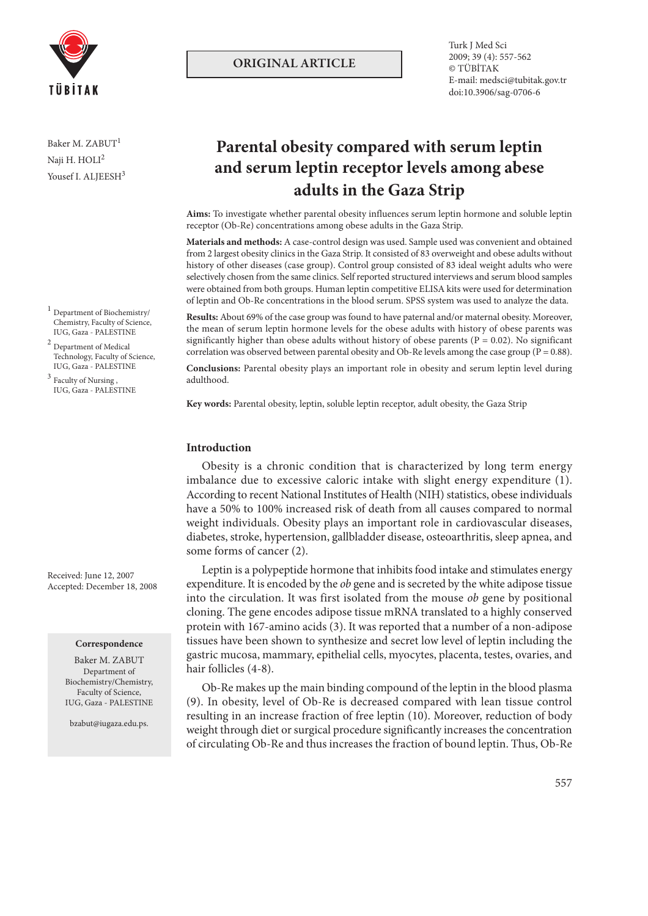

Baker M. ZABUT<sup>1</sup> Naii H. HOLI<sup>2</sup> Yousef I. ALJEESH<sup>3</sup>

- $^{\rm 1}$  Department of Biochemistry/ Chemistry, Faculty of Science, IUG, Gaza - PALESTINE
- $^{\rm 2}$  Department of Medical Technology, Faculty of Science, IUG, Gaza - PALESTINE
- $^3$  Faculty of Nursing , IUG, Gaza - PALESTINE

Received: June 12, 2007 Accepted: December 18, 2008

#### **Correspondence**

Baker M. ZABUT Department of Biochemistry/Chemistry, Faculty of Science, IUG, Gaza - PALESTINE

bzabut@iugaza.edu.ps.

# **ORIGINAL ARTICLE**

Turk J Med Sci 2009; 39 (4): 557-562 © TÜBİTAK E-mail: medsci@tubitak.gov.tr doi:10.3906/sag-0706-6

# **Parental obesity compared with serum leptin and serum leptin receptor levels among abese adults in the Gaza Strip**

**Aims:** To investigate whether parental obesity influences serum leptin hormone and soluble leptin receptor (Ob-Re) concentrations among obese adults in the Gaza Strip.

**Materials and methods:** A case-control design was used. Sample used was convenient and obtained from 2 largest obesity clinics in the Gaza Strip. It consisted of 83 overweight and obese adults without history of other diseases (case group). Control group consisted of 83 ideal weight adults who were selectively chosen from the same clinics. Self reported structured interviews and serum blood samples were obtained from both groups. Human leptin competitive ELISA kits were used for determination of leptin and Ob-Re concentrations in the blood serum. SPSS system was used to analyze the data.

**Results:** About 69% of the case group was found to have paternal and/or maternal obesity. Moreover, the mean of serum leptin hormone levels for the obese adults with history of obese parents was significantly higher than obese adults without history of obese parents ( $P = 0.02$ ). No significant correlation was observed between parental obesity and Ob-Re levels among the case group ( $P = 0.88$ ).

**Conclusions:** Parental obesity plays an important role in obesity and serum leptin level during adulthood.

**Key words:** Parental obesity, leptin, soluble leptin receptor, adult obesity, the Gaza Strip

# **Introduction**

Obesity is a chronic condition that is characterized by long term energy imbalance due to excessive caloric intake with slight energy expenditure (1). According to recent National Institutes of Health (NIH) statistics, obese individuals have a 50% to 100% increased risk of death from all causes compared to normal weight individuals. Obesity plays an important role in cardiovascular diseases, diabetes, stroke, hypertension, gallbladder disease, osteoarthritis, sleep apnea, and some forms of cancer (2).

Leptin is a polypeptide hormone that inhibits food intake and stimulates energy expenditure. It is encoded by the *ob* gene and is secreted by the white adipose tissue into the circulation. It was first isolated from the mouse *ob* gene by positional cloning. The gene encodes adipose tissue mRNA translated to a highly conserved protein with 167-amino acids (3). It was reported that a number of a non-adipose tissues have been shown to synthesize and secret low level of leptin including the gastric mucosa, mammary, epithelial cells, myocytes, placenta, testes, ovaries, and hair follicles (4-8).

Ob-Re makes up the main binding compound of the leptin in the blood plasma (9). In obesity, level of Ob-Re is decreased compared with lean tissue control resulting in an increase fraction of free leptin (10). Moreover, reduction of body weight through diet or surgical procedure significantly increases the concentration of circulating Ob-Re and thus increases the fraction of bound leptin. Thus, Ob-Re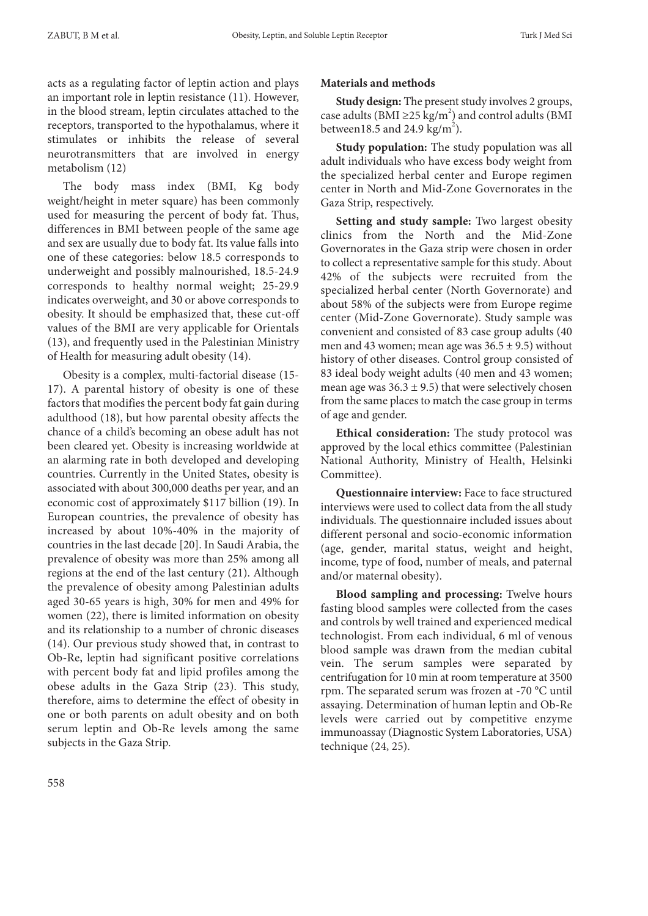acts as a regulating factor of leptin action and plays an important role in leptin resistance (11). However, in the blood stream, leptin circulates attached to the receptors, transported to the hypothalamus, where it stimulates or inhibits the release of several neurotransmitters that are involved in energy metabolism (12)

The body mass index (BMI, Kg body weight/height in meter square) has been commonly used for measuring the percent of body fat. Thus, differences in BMI between people of the same age and sex are usually due to body fat. Its value falls into one of these categories: below 18.5 corresponds to underweight and possibly malnourished, 18.5-24.9 corresponds to healthy normal weight; 25-29.9 indicates overweight, and 30 or above corresponds to obesity. It should be emphasized that, these cut-off values of the BMI are very applicable for Orientals (13), and frequently used in the Palestinian Ministry of Health for measuring adult obesity (14).

Obesity is a complex, multi-factorial disease (15- 17). A parental history of obesity is one of these factors that modifies the percent body fat gain during adulthood (18), but how parental obesity affects the chance of a child's becoming an obese adult has not been cleared yet. Obesity is increasing worldwide at an alarming rate in both developed and developing countries. Currently in the United States, obesity is associated with about 300,000 deaths per year, and an economic cost of approximately \$117 billion (19). In European countries, the prevalence of obesity has increased by about 10%-40% in the majority of countries in the last decade [20]. In Saudi Arabia, the prevalence of obesity was more than 25% among all regions at the end of the last century (21). Although the prevalence of obesity among Palestinian adults aged 30-65 years is high, 30% for men and 49% for women (22), there is limited information on obesity and its relationship to a number of chronic diseases (14). Our previous study showed that, in contrast to Ob-Re, leptin had significant positive correlations with percent body fat and lipid profiles among the obese adults in the Gaza Strip (23). This study, therefore, aims to determine the effect of obesity in one or both parents on adult obesity and on both serum leptin and Ob-Re levels among the same subjects in the Gaza Strip.

# **Materials and methods**

**Study design:** The present study involves 2 groups, case adults (BMI ≥25 kg/m<sup>2</sup>) and control adults (BMI between18.5 and 24.9  $\text{kg/m}^2$ ).

**Study population:** The study population was all adult individuals who have excess body weight from the specialized herbal center and Europe regimen center in North and Mid-Zone Governorates in the Gaza Strip, respectively.

**Setting and study sample:** Two largest obesity clinics from the North and the Mid-Zone Governorates in the Gaza strip were chosen in order to collect a representative sample for this study. About 42% of the subjects were recruited from the specialized herbal center (North Governorate) and about 58% of the subjects were from Europe regime center (Mid-Zone Governorate). Study sample was convenient and consisted of 83 case group adults (40 men and 43 women; mean age was  $36.5 \pm 9.5$ ) without history of other diseases. Control group consisted of 83 ideal body weight adults (40 men and 43 women; mean age was  $36.3 \pm 9.5$ ) that were selectively chosen from the same places to match the case group in terms of age and gender.

**Ethical consideration:** The study protocol was approved by the local ethics committee (Palestinian National Authority, Ministry of Health, Helsinki Committee).

**Questionnaire interview:** Face to face structured interviews were used to collect data from the all study individuals. The questionnaire included issues about different personal and socio-economic information (age, gender, marital status, weight and height, income, type of food, number of meals, and paternal and/or maternal obesity).

**Blood sampling and processing:** Twelve hours fasting blood samples were collected from the cases and controls by well trained and experienced medical technologist. From each individual, 6 ml of venous blood sample was drawn from the median cubital vein. The serum samples were separated by centrifugation for 10 min at room temperature at 3500 rpm. The separated serum was frozen at -70 °C until assaying. Determination of human leptin and Ob-Re levels were carried out by competitive enzyme immunoassay (Diagnostic System Laboratories, USA) technique (24, 25).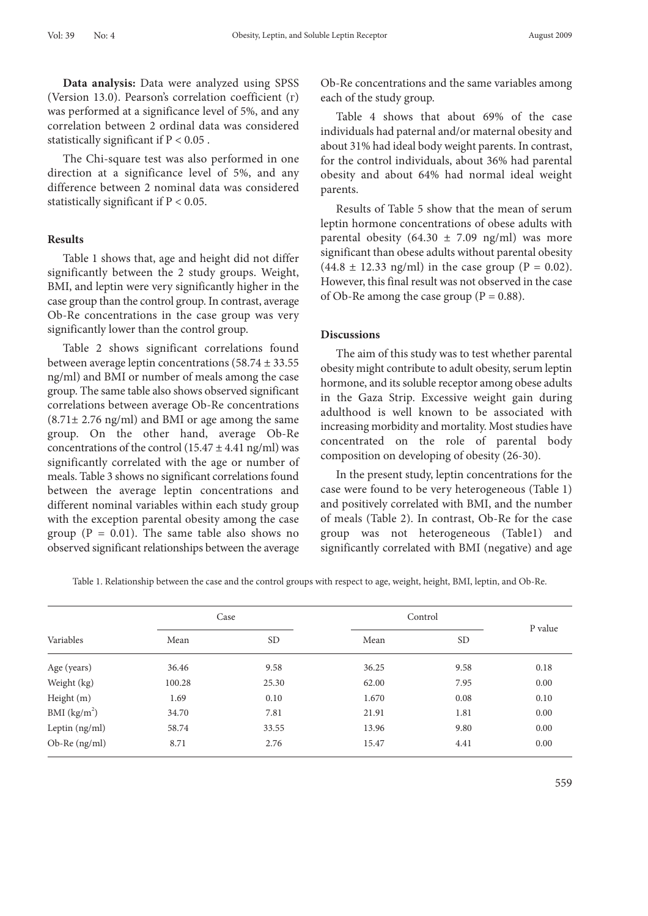**Data analysis:** Data were analyzed using SPSS (Version 13.0). Pearson's correlation coefficient (г) was performed at a significance level of 5%, and any correlation between 2 ordinal data was considered statistically significant if  $P < 0.05$ .

The Chi-square test was also performed in one direction at a significance level of 5%, and any difference between 2 nominal data was considered statistically significant if P < 0.05.

# **Results**

Table 1 shows that, age and height did not differ significantly between the 2 study groups. Weight, BMI, and leptin were very significantly higher in the case group than the control group. In contrast, average Ob-Re concentrations in the case group was very significantly lower than the control group.

Table 2 shows significant correlations found between average leptin concentrations (58.74 ± 33.55 ng/ml) and BMI or number of meals among the case group. The same table also shows observed significant correlations between average Ob-Re concentrations (8.71± 2.76 ng/ml) and BMI or age among the same group. On the other hand, average Ob-Re concentrations of the control  $(15.47 \pm 4.41 \text{ ng/ml})$  was significantly correlated with the age or number of meals. Table 3 shows no significant correlations found between the average leptin concentrations and different nominal variables within each study group with the exception parental obesity among the case group ( $P = 0.01$ ). The same table also shows no observed significant relationships between the average

Ob-Re concentrations and the same variables among each of the study group.

Table 4 shows that about 69% of the case individuals had paternal and/or maternal obesity and about 31% had ideal body weight parents. In contrast, for the control individuals, about 36% had parental obesity and about 64% had normal ideal weight parents.

Results of Table 5 show that the mean of serum leptin hormone concentrations of obese adults with parental obesity (64.30  $\pm$  7.09 ng/ml) was more significant than obese adults without parental obesity  $(44.8 \pm 12.33 \text{ ng/ml})$  in the case group (P = 0.02). However, this final result was not observed in the case of Ob-Re among the case group ( $P = 0.88$ ).

#### **Discussions**

The aim of this study was to test whether parental obesity might contribute to adult obesity, serum leptin hormone, and its soluble receptor among obese adults in the Gaza Strip. Excessive weight gain during adulthood is well known to be associated with increasing morbidity and mortality. Most studies have concentrated on the role of parental body composition on developing of obesity (26-30).

In the present study, leptin concentrations for the case were found to be very heterogeneous (Table 1) and positively correlated with BMI, and the number of meals (Table 2). In contrast, Ob-Re for the case group was not heterogeneous (Table1) and significantly correlated with BMI (negative) and age

Table 1. Relationship between the case and the control groups with respect to age, weight, height, BMI, leptin, and Ob-Re.

| Variables                | Case   |           | Control |                 |         |
|--------------------------|--------|-----------|---------|-----------------|---------|
|                          | Mean   | <b>SD</b> | Mean    | SD <sub>1</sub> | P value |
| Age (years)              | 36.46  | 9.58      | 36.25   | 9.58            | 0.18    |
| Weight (kg)              | 100.28 | 25.30     | 62.00   | 7.95            | 0.00    |
| Height (m)               | 1.69   | 0.10      | 1.670   | 0.08            | 0.10    |
| BMI (kg/m <sup>2</sup> ) | 34.70  | 7.81      | 21.91   | 1.81            | 0.00    |
| Leptin (ng/ml)           | 58.74  | 33.55     | 13.96   | 9.80            | 0.00    |
| Ob-Re (ng/ml)            | 8.71   | 2.76      | 15.47   | 4.41            | 0.00    |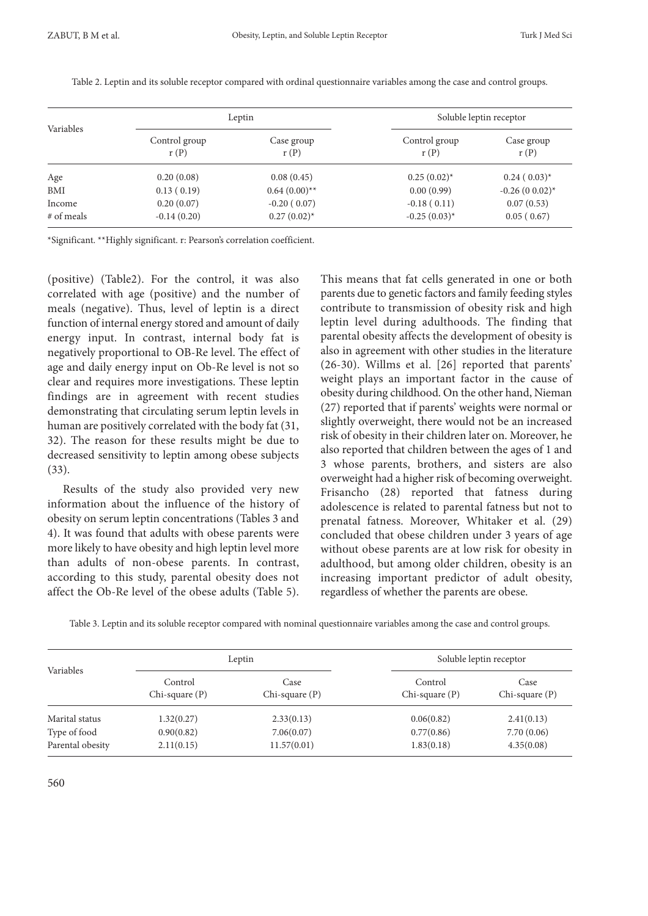| Variables  |                       | Leptin             |                       | Soluble leptin receptor |  |
|------------|-----------------------|--------------------|-----------------------|-------------------------|--|
|            | Control group<br>r(P) | Case group<br>r(P) | Control group<br>r(P) | Case group<br>r(P)      |  |
| Age        | 0.20(0.08)            | 0.08(0.45)         | $0.25(0.02)^{*}$      | $0.24(0.03)^{*}$        |  |
| BMI        | 0.13(0.19)            | $0.64(0.00)$ **    | 0.00(0.99)            | $-0.26(0.02)$ *         |  |
| Income     | 0.20(0.07)            | $-0.20(0.07)$      | $-0.18(0.11)$         | 0.07(0.53)              |  |
| # of meals | $-0.14(0.20)$         | $0.27(0.02)^{*}$   | $-0.25(0.03)^{*}$     | 0.05(0.67)              |  |

Table 2. Leptin and its soluble receptor compared with ordinal questionnaire variables among the case and control groups.

\*Significant. \*\*Highly significant. r: Pearson's correlation coefficient.

(positive) (Table2). For the control, it was also correlated with age (positive) and the number of meals (negative). Thus, level of leptin is a direct function of internal energy stored and amount of daily energy input. In contrast, internal body fat is negatively proportional to OB-Re level. The effect of age and daily energy input on Ob-Re level is not so clear and requires more investigations. These leptin findings are in agreement with recent studies demonstrating that circulating serum leptin levels in human are positively correlated with the body fat (31, 32). The reason for these results might be due to decreased sensitivity to leptin among obese subjects (33).

Results of the study also provided very new information about the influence of the history of obesity on serum leptin concentrations (Tables 3 and 4). It was found that adults with obese parents were more likely to have obesity and high leptin level more than adults of non-obese parents. In contrast, according to this study, parental obesity does not affect the Ob-Re level of the obese adults (Table 5).

This means that fat cells generated in one or both parents due to genetic factors and family feeding styles contribute to transmission of obesity risk and high leptin level during adulthoods. The finding that parental obesity affects the development of obesity is also in agreement with other studies in the literature (26-30). Willms et al. [26] reported that parents' weight plays an important factor in the cause of obesity during childhood. On the other hand, Nieman (27) reported that if parents' weights were normal or slightly overweight, there would not be an increased risk of obesity in their children later on. Moreover, he also reported that children between the ages of 1 and 3 whose parents, brothers, and sisters are also overweight had a higher risk of becoming overweight. Frisancho (28) reported that fatness during adolescence is related to parental fatness but not to prenatal fatness. Moreover, Whitaker et al. (29) concluded that obese children under 3 years of age without obese parents are at low risk for obesity in adulthood, but among older children, obesity is an increasing important predictor of adult obesity, regardless of whether the parents are obese.

Table 3. Leptin and its soluble receptor compared with nominal questionnaire variables among the case and control groups.

| Variables        | Leptin                         |                             | Soluble leptin receptor        |                             |
|------------------|--------------------------------|-----------------------------|--------------------------------|-----------------------------|
|                  | Control<br>$Chi$ -square $(P)$ | Case<br>$Chi$ -square $(P)$ | Control<br>$Chi$ -square $(P)$ | Case<br>$Chi$ -square $(P)$ |
| Marital status   | 1.32(0.27)                     | 2.33(0.13)                  | 0.06(0.82)                     | 2.41(0.13)                  |
| Type of food     | 0.90(0.82)                     | 7.06(0.07)                  | 0.77(0.86)                     | 7.70(0.06)                  |
| Parental obesity | 2.11(0.15)                     | 11.57(0.01)                 | 1.83(0.18)                     | 4.35(0.08)                  |

560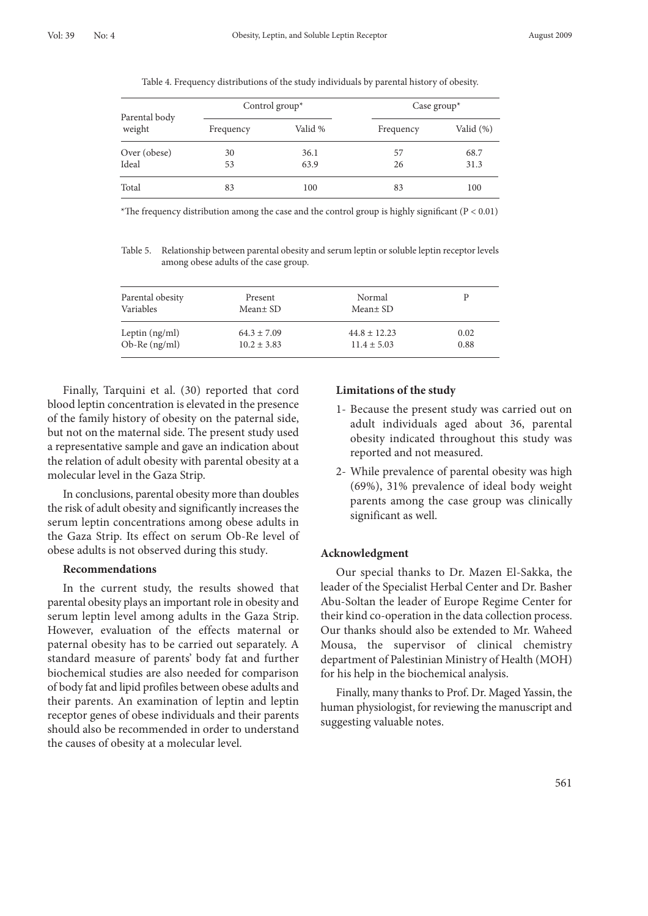Table 4. Frequency distributions of the study individuals by parental history of obesity.

| Parental body<br>weight | Control group $*$ |         | Case group $*$ |              |
|-------------------------|-------------------|---------|----------------|--------------|
|                         | Frequency         | Valid % | Frequency      | Valid $(\%)$ |
| Over (obese)            | 30                | 36.1    | 57             | 68.7         |
| Ideal                   | 53                | 63.9    | 26             | 31.3         |
| Total                   | 83                | 100     | 83             | 100          |

\*The frequency distribution among the case and the control group is highly significant ( $P < 0.01$ )

Table 5. Relationship between parental obesity and serum leptin or soluble leptin receptor levels among obese adults of the case group.

| Parental obesity | Present         | Normal           |      |
|------------------|-----------------|------------------|------|
| Variables        | Mean± SD        | $Mean \pm SD$    |      |
| Leptin $(ng/ml)$ | $64.3 \pm 7.09$ | $44.8 \pm 12.23$ | 0.02 |
| $Ob-Re$ (ng/ml)  | $10.2 \pm 3.83$ | $11.4 \pm 5.03$  | 0.88 |

Finally, Tarquini et al. (30) reported that cord blood leptin concentration is elevated in the presence of the family history of obesity on the paternal side, but not on the maternal side. The present study used a representative sample and gave an indication about the relation of adult obesity with parental obesity at a molecular level in the Gaza Strip.

In conclusions, parental obesity more than doubles the risk of adult obesity and significantly increases the serum leptin concentrations among obese adults in the Gaza Strip. Its effect on serum Ob-Re level of obese adults is not observed during this study.

#### **Recommendations**

In the current study, the results showed that parental obesity plays an important role in obesity and serum leptin level among adults in the Gaza Strip. However, evaluation of the effects maternal or paternal obesity has to be carried out separately. A standard measure of parents' body fat and further biochemical studies are also needed for comparison of body fat and lipid profiles between obese adults and their parents. An examination of leptin and leptin receptor genes of obese individuals and their parents should also be recommended in order to understand the causes of obesity at a molecular level.

## **Limitations of the study**

- 1- Because the present study was carried out on adult individuals aged about 36, parental obesity indicated throughout this study was reported and not measured.
- 2- While prevalence of parental obesity was high (69%), 31% prevalence of ideal body weight parents among the case group was clinically significant as well.

# **Acknowledgment**

Our special thanks to Dr. Mazen El-Sakka, the leader of the Specialist Herbal Center and Dr. Basher Abu-Soltan the leader of Europe Regime Center for their kind co-operation in the data collection process. Our thanks should also be extended to Mr. Waheed Mousa, the supervisor of clinical chemistry department of Palestinian Ministry of Health (MOH) for his help in the biochemical analysis.

Finally, many thanks to Prof. Dr. Maged Yassin, the human physiologist, for reviewing the manuscript and suggesting valuable notes.